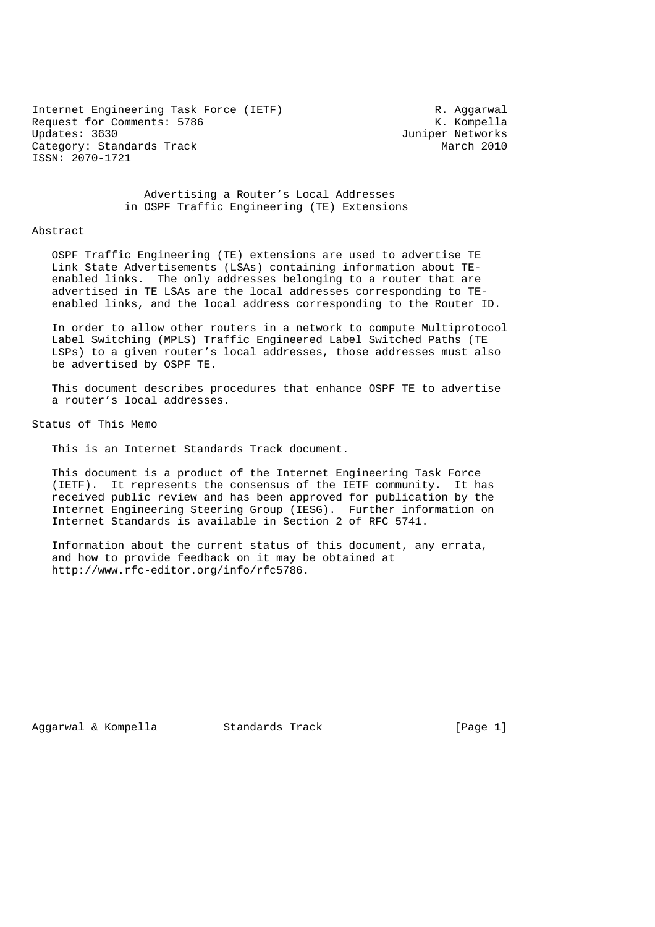Internet Engineering Task Force (IETF) The Control R. Aggarwal Request for Comments: 5786 K. Kompella<br>
Updates: 3630 K. Kompella Category: Standards Track March 2010 ISSN: 2070-1721

Juniper Networks

 Advertising a Router's Local Addresses in OSPF Traffic Engineering (TE) Extensions

#### Abstract

 OSPF Traffic Engineering (TE) extensions are used to advertise TE Link State Advertisements (LSAs) containing information about TE enabled links. The only addresses belonging to a router that are advertised in TE LSAs are the local addresses corresponding to TE enabled links, and the local address corresponding to the Router ID.

 In order to allow other routers in a network to compute Multiprotocol Label Switching (MPLS) Traffic Engineered Label Switched Paths (TE LSPs) to a given router's local addresses, those addresses must also be advertised by OSPF TE.

 This document describes procedures that enhance OSPF TE to advertise a router's local addresses.

Status of This Memo

This is an Internet Standards Track document.

 This document is a product of the Internet Engineering Task Force (IETF). It represents the consensus of the IETF community. It has received public review and has been approved for publication by the Internet Engineering Steering Group (IESG). Further information on Internet Standards is available in Section 2 of RFC 5741.

 Information about the current status of this document, any errata, and how to provide feedback on it may be obtained at http://www.rfc-editor.org/info/rfc5786.

Aggarwal & Kompella Standards Track (Page 1)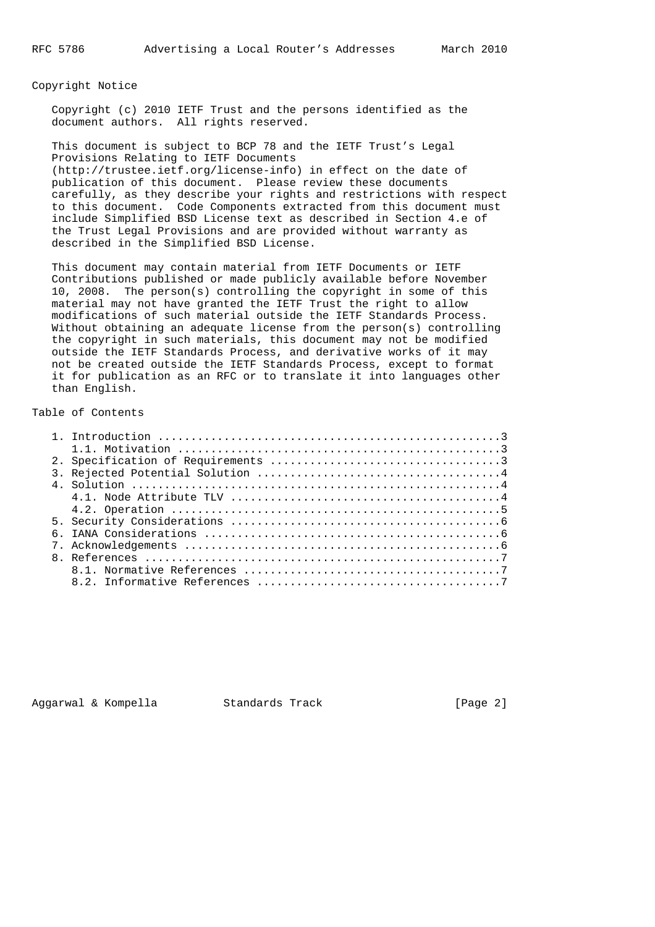#### Copyright Notice

 Copyright (c) 2010 IETF Trust and the persons identified as the document authors. All rights reserved.

 This document is subject to BCP 78 and the IETF Trust's Legal Provisions Relating to IETF Documents (http://trustee.ietf.org/license-info) in effect on the date of publication of this document. Please review these documents carefully, as they describe your rights and restrictions with respect to this document. Code Components extracted from this document must include Simplified BSD License text as described in Section 4.e of the Trust Legal Provisions and are provided without warranty as described in the Simplified BSD License.

 This document may contain material from IETF Documents or IETF Contributions published or made publicly available before November 10, 2008. The person(s) controlling the copyright in some of this material may not have granted the IETF Trust the right to allow modifications of such material outside the IETF Standards Process. Without obtaining an adequate license from the person(s) controlling the copyright in such materials, this document may not be modified outside the IETF Standards Process, and derivative works of it may not be created outside the IETF Standards Process, except to format it for publication as an RFC or to translate it into languages other than English.

# Table of Contents

Aggarwal & Kompella Standards Track [Page 2]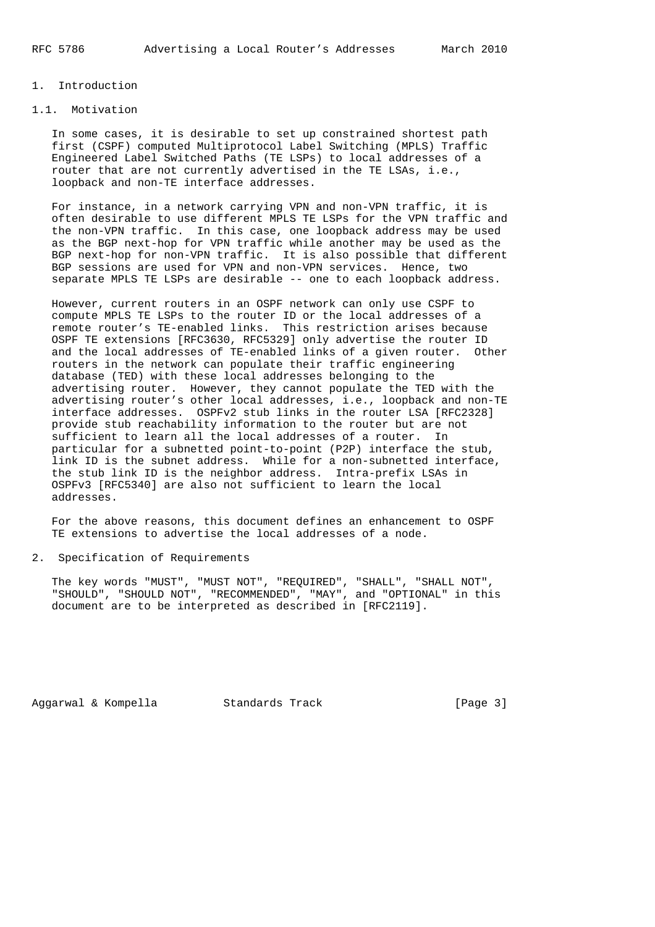## 1. Introduction

# 1.1. Motivation

 In some cases, it is desirable to set up constrained shortest path first (CSPF) computed Multiprotocol Label Switching (MPLS) Traffic Engineered Label Switched Paths (TE LSPs) to local addresses of a router that are not currently advertised in the TE LSAs, i.e., loopback and non-TE interface addresses.

 For instance, in a network carrying VPN and non-VPN traffic, it is often desirable to use different MPLS TE LSPs for the VPN traffic and the non-VPN traffic. In this case, one loopback address may be used as the BGP next-hop for VPN traffic while another may be used as the BGP next-hop for non-VPN traffic. It is also possible that different BGP sessions are used for VPN and non-VPN services. Hence, two separate MPLS TE LSPs are desirable -- one to each loopback address.

 However, current routers in an OSPF network can only use CSPF to compute MPLS TE LSPs to the router ID or the local addresses of a remote router's TE-enabled links. This restriction arises because OSPF TE extensions [RFC3630, RFC5329] only advertise the router ID and the local addresses of TE-enabled links of a given router. Other routers in the network can populate their traffic engineering database (TED) with these local addresses belonging to the advertising router. However, they cannot populate the TED with the advertising router's other local addresses, i.e., loopback and non-TE interface addresses. OSPFv2 stub links in the router LSA [RFC2328] provide stub reachability information to the router but are not sufficient to learn all the local addresses of a router. In particular for a subnetted point-to-point (P2P) interface the stub, link ID is the subnet address. While for a non-subnetted interface, the stub link ID is the neighbor address. Intra-prefix LSAs in OSPFv3 [RFC5340] are also not sufficient to learn the local addresses.

 For the above reasons, this document defines an enhancement to OSPF TE extensions to advertise the local addresses of a node.

### 2. Specification of Requirements

 The key words "MUST", "MUST NOT", "REQUIRED", "SHALL", "SHALL NOT", "SHOULD", "SHOULD NOT", "RECOMMENDED", "MAY", and "OPTIONAL" in this document are to be interpreted as described in [RFC2119].

Aggarwal & Kompella Standards Track [Page 3]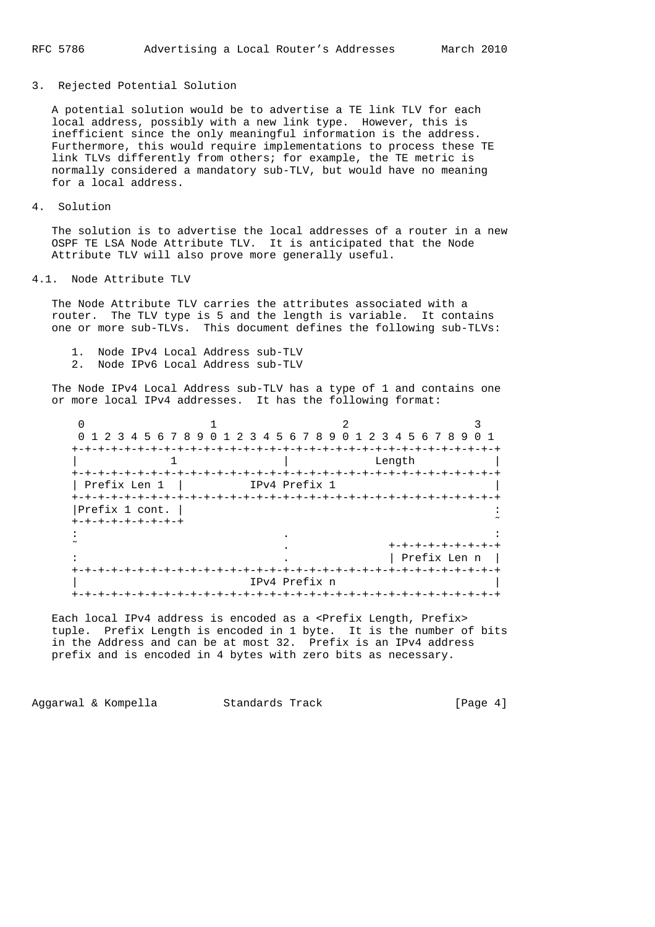#### 3. Rejected Potential Solution

 A potential solution would be to advertise a TE link TLV for each local address, possibly with a new link type. However, this is inefficient since the only meaningful information is the address. Furthermore, this would require implementations to process these TE link TLVs differently from others; for example, the TE metric is normally considered a mandatory sub-TLV, but would have no meaning for a local address.

4. Solution

 The solution is to advertise the local addresses of a router in a new OSPF TE LSA Node Attribute TLV. It is anticipated that the Node Attribute TLV will also prove more generally useful.

#### 4.1. Node Attribute TLV

 The Node Attribute TLV carries the attributes associated with a router. The TLV type is 5 and the length is variable. It contains one or more sub-TLVs. This document defines the following sub-TLVs:

- 1. Node IPv4 Local Address sub-TLV
- 2. Node IPv6 Local Address sub-TLV

 The Node IPv4 Local Address sub-TLV has a type of 1 and contains one or more local IPv4 addresses. It has the following format:

| 0 1 2 3 4 5 6 7 8 9 0 1 2 3 4 5 6 7 8 9 0 1 2 3 4 5 6 7 8 9 |                                 |                 |                   | O 1          |
|-------------------------------------------------------------|---------------------------------|-----------------|-------------------|--------------|
| $+-+$                                                       |                                 |                 |                   |              |
|                                                             |                                 |                 | Length            |              |
| +-+-+-+-+-+-+-+-+                                           |                                 |                 | -+-+-+-+-+-+-+-+- |              |
| Prefix Len 1                                                |                                 | IPv4 Prefix 1   |                   |              |
| <b>+-+-+-+-+-+</b>                                          | +-+-+-+-+-+-+-+-+-+-+-+-+-+-+-+ |                 |                   |              |
| Prefix 1 cont.                                              |                                 |                 |                   |              |
| +-+-+-+-+-+-+-+-+                                           |                                 |                 |                   |              |
|                                                             |                                 |                 |                   |              |
|                                                             |                                 |                 |                   |              |
|                                                             |                                 |                 |                   | Prefix Len n |
|                                                             |                                 |                 |                   |              |
|                                                             |                                 | IPv4 Prefix n   |                   |              |
|                                                             |                                 | -+-+-+-+-+-+-+- |                   |              |

Each local IPv4 address is encoded as a <Prefix Length, Prefix> tuple. Prefix Length is encoded in 1 byte. It is the number of bits in the Address and can be at most 32. Prefix is an IPv4 address prefix and is encoded in 4 bytes with zero bits as necessary.

Aggarwal & Kompella Standards Track (Page 4)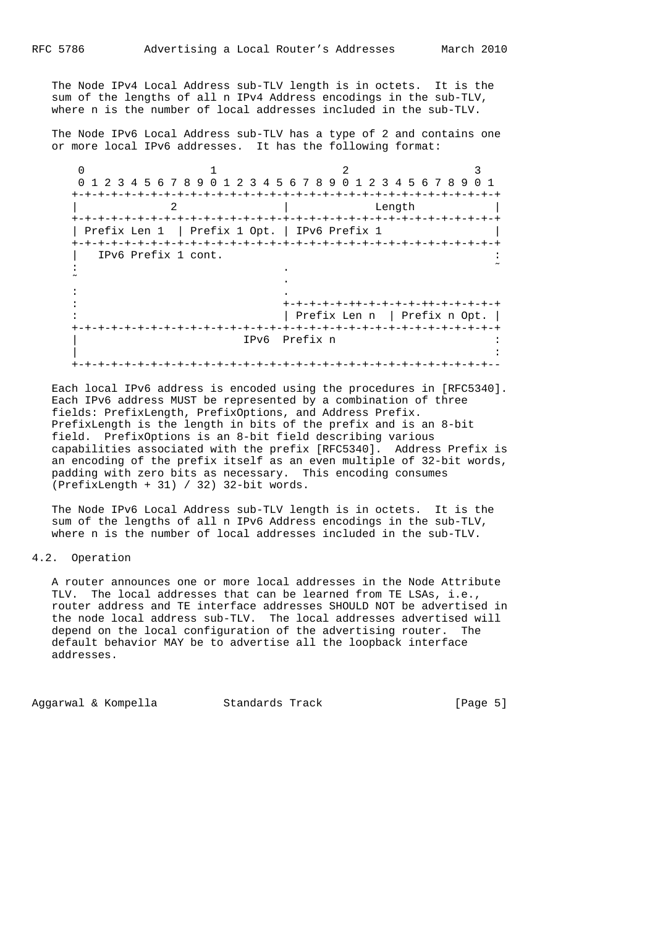The Node IPv4 Local Address sub-TLV length is in octets. It is the sum of the lengths of all n IPv4 Address encodings in the sub-TLV, where n is the number of local addresses included in the sub-TLV.

 The Node IPv6 Local Address sub-TLV has a type of 2 and contains one or more local IPv6 addresses. It has the following format:

 $0$  1 2 3 0 1 2 3 4 5 6 7 8 9 0 1 2 3 4 5 6 7 8 9 0 1 2 3 4 5 6 7 8 9 0 1 +-+-+-+-+-+-+-+-+-+-+-+-+-+-+-+-+-+-+-+-+-+-+-+-+-+-+-+-+-+-+-+-+ 2 | Length +-+-+-+-+-+-+-+-+-+-+-+-+-+-+-+-+-+-+-+-+-+-+-+-+-+-+-+-+-+-+-+-+ | Prefix Len 1 | Prefix 1 Opt. | IPv6 Prefix 1 +-+-+-+-+-+-+-+-+-+-+-+-+-+-+-+-+-+-+-+-+-+-+-+-+-+-+-+-+-+-+-+-+ | IPv6 Prefix 1 cont. : . ˜  $\sim$  . The contract of the contract of the contract of the contract of the contract of the contract of the contract of in the state of the state of the state of the state of the state of : +-+-+-+-+-++-+-+-+-+-++-+-+-+-+-+ : | Prefix Len n | Prefix n Opt. | +-+-+-+-+-+-+-+-+-+-+-+-+-+-+-+-+-+-+-+-+-+-+-+-+-+-+-+-+-+-+-+-+ | IPv6 Prefix n : | : +-+-+-+-+-+-+-+-+-+-+-+-+-+-+-+-+-+-+-+-+-+-+-+-+-+-+-+-+-+-+-+--

 Each local IPv6 address is encoded using the procedures in [RFC5340]. Each IPv6 address MUST be represented by a combination of three fields: PrefixLength, PrefixOptions, and Address Prefix. PrefixLength is the length in bits of the prefix and is an 8-bit field. PrefixOptions is an 8-bit field describing various capabilities associated with the prefix [RFC5340]. Address Prefix is an encoding of the prefix itself as an even multiple of 32-bit words, padding with zero bits as necessary. This encoding consumes (PrefixLength + 31) / 32) 32-bit words.

 The Node IPv6 Local Address sub-TLV length is in octets. It is the sum of the lengths of all n IPv6 Address encodings in the sub-TLV, where n is the number of local addresses included in the sub-TLV.

### 4.2. Operation

 A router announces one or more local addresses in the Node Attribute TLV. The local addresses that can be learned from TE LSAs, i.e., router address and TE interface addresses SHOULD NOT be advertised in the node local address sub-TLV. The local addresses advertised will depend on the local configuration of the advertising router. The default behavior MAY be to advertise all the loopback interface addresses.

Aggarwal & Kompella Standards Track [Page 5]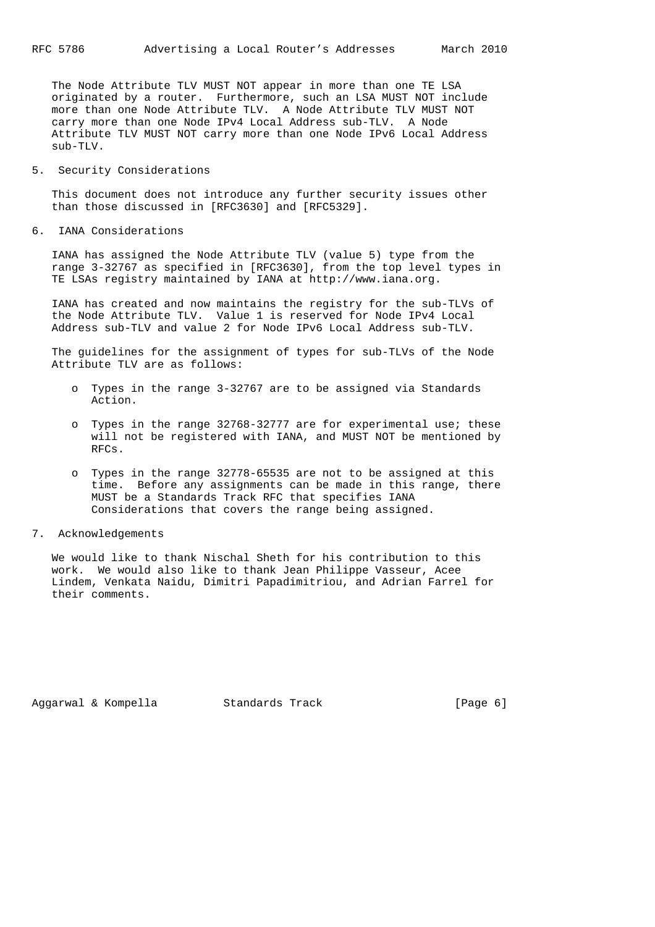The Node Attribute TLV MUST NOT appear in more than one TE LSA originated by a router. Furthermore, such an LSA MUST NOT include more than one Node Attribute TLV. A Node Attribute TLV MUST NOT carry more than one Node IPv4 Local Address sub-TLV. A Node Attribute TLV MUST NOT carry more than one Node IPv6 Local Address  $sub-TLV$ .

5. Security Considerations

 This document does not introduce any further security issues other than those discussed in [RFC3630] and [RFC5329].

6. IANA Considerations

 IANA has assigned the Node Attribute TLV (value 5) type from the range 3-32767 as specified in [RFC3630], from the top level types in TE LSAs registry maintained by IANA at http://www.iana.org.

 IANA has created and now maintains the registry for the sub-TLVs of the Node Attribute TLV. Value 1 is reserved for Node IPv4 Local Address sub-TLV and value 2 for Node IPv6 Local Address sub-TLV.

 The guidelines for the assignment of types for sub-TLVs of the Node Attribute TLV are as follows:

- o Types in the range 3-32767 are to be assigned via Standards Action.
- o Types in the range 32768-32777 are for experimental use; these will not be registered with IANA, and MUST NOT be mentioned by RFCs.
- o Types in the range 32778-65535 are not to be assigned at this time. Before any assignments can be made in this range, there MUST be a Standards Track RFC that specifies IANA Considerations that covers the range being assigned.
- 7. Acknowledgements

 We would like to thank Nischal Sheth for his contribution to this work. We would also like to thank Jean Philippe Vasseur, Acee Lindem, Venkata Naidu, Dimitri Papadimitriou, and Adrian Farrel for their comments.

Aggarwal & Kompella Standards Track (Page 6)